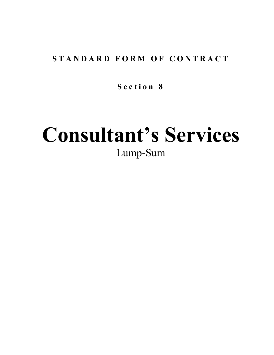# STANDARD FORM OF CONTRACT

**S e c t i o n 8**

# **Consultant's Services** Lump-Sum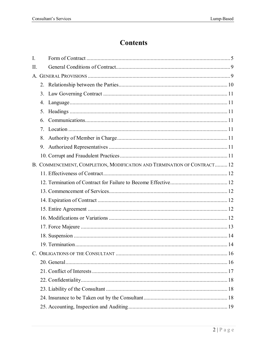# **Contents**

| $\overline{I}$ . |                |                                                                          |  |
|------------------|----------------|--------------------------------------------------------------------------|--|
| II.              |                |                                                                          |  |
|                  |                |                                                                          |  |
|                  |                |                                                                          |  |
|                  |                |                                                                          |  |
|                  | 4.             |                                                                          |  |
|                  | 5.             |                                                                          |  |
|                  | 6.             |                                                                          |  |
|                  | 7 <sub>1</sub> |                                                                          |  |
|                  | 8.             |                                                                          |  |
|                  |                |                                                                          |  |
|                  |                |                                                                          |  |
|                  |                | B. COMMENCEMENT, COMPLETION, MODIFICATION AND TERMINATION OF CONTRACT 12 |  |
|                  |                |                                                                          |  |
|                  |                |                                                                          |  |
|                  |                |                                                                          |  |
|                  |                |                                                                          |  |
|                  |                |                                                                          |  |
|                  |                |                                                                          |  |
|                  |                |                                                                          |  |
|                  |                |                                                                          |  |
|                  |                |                                                                          |  |
|                  |                |                                                                          |  |
|                  |                |                                                                          |  |
|                  |                |                                                                          |  |
|                  |                |                                                                          |  |
|                  |                |                                                                          |  |
|                  |                |                                                                          |  |
|                  |                |                                                                          |  |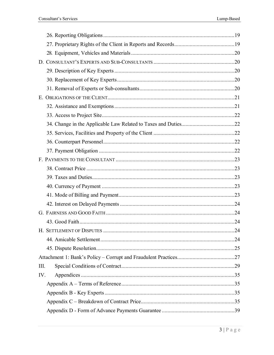| Ш.  |  |
|-----|--|
| IV. |  |
|     |  |
|     |  |
|     |  |
|     |  |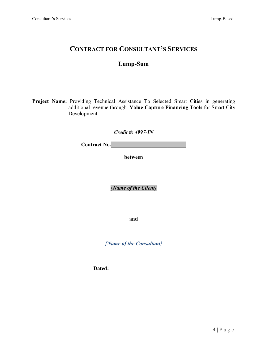## **CONTRACT FOR CONSULTANT'S SERVICES**

## **Lump-Sum**

**Project Name:** Providing Technical Assistance To Selected Smart Cities in generating additional revenue through **Value Capture Financing Tools** for Smart City Development

*Credit #: 4997-IN*

Contract No.

**between**

*[Name of the Client]*

**and**

*[Name of the Consultant]*

**Dated:**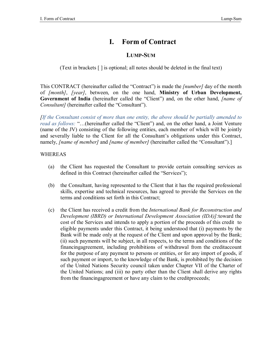# **I. Form of Contract**

## **LUMP-SUM**

(Text in brackets [ ] is optional; all notes should be deleted in the final text)

This CONTRACT (hereinafter called the "Contract") is made the *[number]* day of the month of *[month]*, *[year]*, between, on the one hand, **Ministry of Urban Development, Government of India** (hereinafter called the "Client") and, on the other hand, *[name of Consultant]* (hereinafter called the "Consultant").

*[If the Consultant consist of more than one entity, the above should be partially amended to read as follows:* "…(hereinafter called the "Client") and, on the other hand, a Joint Venture (name of the JV) consisting of the following entities, each member of which will be jointly and severally liable to the Client for all the Consultant's obligations under this Contract, namely, *[name of member]* and *[name of member]* (hereinafter called the "Consultant").]

#### WHEREAS

- (a) the Client has requested the Consultant to provide certain consulting services as defined in this Contract (hereinafter called the "Services");
- (b) the Consultant, having represented to the Client that it has the required professional skills, expertise and technical resources, has agreed to provide the Services on the terms and conditions set forth in this Contract;
- (c) the Client has received a credit from the *International Bank for Reconstruction and Development (IBRD) or International Development Association (IDA)]:*toward the cost of the Services and intends to apply a portion of the proceeds of this credit to eligible payments under this Contract, it being understood that (i) payments by the Bank will be made only at the request of the Client and upon approval by the Bank; (ii) such payments will be subject, in all respects, to the terms and conditions of the financingagreement, including prohibitions of withdrawal from the creditaccount for the purpose of any payment to persons or entities, or for any import of goods, if such payment or import, to the knowledge of the Bank, is prohibited by the decision of the United Nations Security council taken under Chapter VII of the Charter of the United Nations; and (iii) no party other than the Client shall derive any rights from the financingagreement or have any claim to the creditproceeds;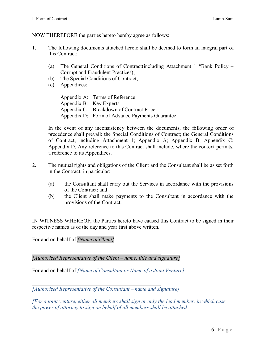NOW THEREFORE the parties hereto hereby agree as follows:

- 1. The following documents attached hereto shall be deemed to form an integral part of this Contract:
	- (a) The General Conditions of Contract(including Attachment 1 "Bank Policy Corrupt and Fraudulent Practices);
	- (b) The Special Conditions of Contract;
	- (c) Appendices:

Appendix A: Terms of Reference Appendix B: Key Experts Appendix C: Breakdown of Contract Price Appendix D: Form of Advance Payments Guarantee

In the event of any inconsistency between the documents, the following order of precedence shall prevail: the Special Conditions of Contract; the General Conditions of Contract, including Attachment 1; Appendix A; Appendix B; Appendix C; Appendix D. Any reference to this Contract shall include, where the context permits, a reference to its Appendices.

- 2. The mutual rights and obligations of the Client and the Consultant shall be as set forth in the Contract, in particular:
	- (a) the Consultant shall carry out the Services in accordance with the provisions of the Contract; and
	- (b) the Client shall make payments to the Consultant in accordance with the provisions of the Contract.

IN WITNESS WHEREOF, the Parties hereto have caused this Contract to be signed in their respective names as of the day and year first above written.

For and on behalf of *[Name of Client]*

*[Authorized Representative of the Client – name, title and signature]*

For and on behalf of *[Name of Consultant or Name of a Joint Venture]*

*[Authorized Representative of the Consultant – name and signature]*

*[For a joint venture, either all members shall sign or only the lead member, in which case the power of attorney to sign on behalf of all members shall be attached.*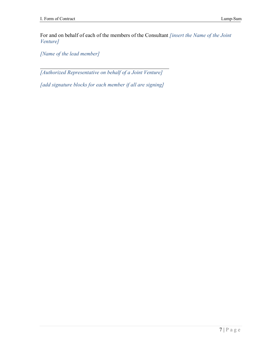For and on behalf of each of the members of the Consultant *[insert the Name of the Joint Venture]*

*[Name of the lead member]*

*[Authorized Representative on behalf of a Joint Venture]*

*[add signature blocks for each member if all are signing]*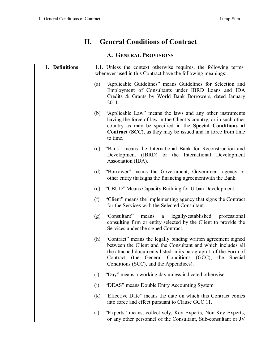# **II. General Conditions of Contract**

## **A. GENERAL PROVISIONS**

| 1. Definitions |                             | 1.1. Unless the context otherwise requires, the following terms<br>whenever used in this Contract have the following meanings:                                                                                                                                                                    |
|----------------|-----------------------------|---------------------------------------------------------------------------------------------------------------------------------------------------------------------------------------------------------------------------------------------------------------------------------------------------|
|                | (a)                         | "Applicable Guidelines" means Guidelines for Selection and<br>Employment of Consultants under IBRD Loans and IDA<br>Credits & Grants by World Bank Borrowers, dated January<br>2011.                                                                                                              |
|                | (b)                         | "Applicable Law" means the laws and any other instruments<br>having the force of law in the Client's country, or in such other<br>country as may be specified in the Special Conditions of<br><b>Contract (SCC)</b> , as they may be issued and in force from time<br>to time.                    |
|                | (c)                         | "Bank" means the International Bank for Reconstruction and<br>Development (IBRD) or the International Development<br>Association (IDA).                                                                                                                                                           |
|                | (d)                         | "Borrower" means the Government, Government agency or<br>other entity that signs the financing agreement with the Bank.                                                                                                                                                                           |
|                | (e)                         | "CBUD" Means Capacity Building for Urban Development                                                                                                                                                                                                                                              |
|                | (f)                         | "Client" means the implementing agency that signs the Contract<br>for the Services with the Selected Consultant.                                                                                                                                                                                  |
|                | (g)                         | "Consultant" means a legally-established<br>professional<br>consulting firm or entity selected by the Client to provide the<br>Services under the signed Contract.                                                                                                                                |
|                | (h)                         | "Contract" means the legally binding written agreement signed<br>between the Client and the Consultant and which includes all<br>the attached documents listed in its paragraph 1 of the Form of<br>Contract (the General Conditions (GCC), the Special<br>Conditions (SCC), and the Appendices). |
|                | (i)                         | "Day" means a working day unless indicated otherwise.                                                                                                                                                                                                                                             |
|                | (j)                         | "DEAS" means Double Entry Accounting System                                                                                                                                                                                                                                                       |
|                | (k)                         | "Effective Date" means the date on which this Contract comes<br>into force and effect pursuant to Clause GCC 11.                                                                                                                                                                                  |
|                | $\left( \mathbf{l} \right)$ | "Experts" means, collectively, Key Experts, Non-Key Experts,<br>or any other personnel of the Consultant, Sub-consultant or JV                                                                                                                                                                    |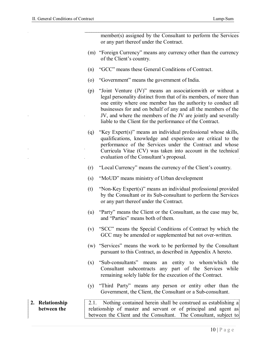|                                | member(s) assigned by the Consultant to perform the Services<br>or any part thereof under the Contract.                                                                                                                                                                                                                                                                                                 |
|--------------------------------|---------------------------------------------------------------------------------------------------------------------------------------------------------------------------------------------------------------------------------------------------------------------------------------------------------------------------------------------------------------------------------------------------------|
|                                | (m) "Foreign Currency" means any currency other than the currency<br>of the Client's country.                                                                                                                                                                                                                                                                                                           |
|                                | "GCC" means these General Conditions of Contract.<br>(n)                                                                                                                                                                                                                                                                                                                                                |
|                                | "Government" means the government of India.<br>$\left( 0 \right)$                                                                                                                                                                                                                                                                                                                                       |
|                                | "Joint Venture (JV)" means an association with or without a<br>(p)<br>legal personality distinct from that of its members, of more than<br>one entity where one member has the authority to conduct all<br>businesses for and on behalf of any and all the members of the<br>JV, and where the members of the JV are jointly and severally<br>liable to the Client for the performance of the Contract. |
|                                | "Key Expert(s)" means an individual professional whose skills,<br>(q)<br>qualifications, knowledge and experience are critical to the<br>performance of the Services under the Contract and whose<br>Curricula Vitae (CV) was taken into account in the technical<br>evaluation of the Consultant's proposal.                                                                                           |
|                                | "Local Currency" means the currency of the Client's country.<br>(r)                                                                                                                                                                                                                                                                                                                                     |
|                                | "MoUD" means ministry of Urban development<br>(s)                                                                                                                                                                                                                                                                                                                                                       |
|                                | "Non-Key Expert(s)" means an individual professional provided<br>(t)<br>by the Consultant or its Sub-consultant to perform the Services<br>or any part thereof under the Contract.                                                                                                                                                                                                                      |
|                                | "Party" means the Client or the Consultant, as the case may be,<br>(u)<br>and "Parties" means both of them.                                                                                                                                                                                                                                                                                             |
|                                | (v) "SCC" means the Special Conditions of Contract by which the<br>GCC may be amended or supplemented but not over-written.                                                                                                                                                                                                                                                                             |
|                                | "Services" means the work to be performed by the Consultant<br>(w)<br>pursuant to this Contract, as described in Appendix A hereto.                                                                                                                                                                                                                                                                     |
|                                | "Sub-consultants" means an entity to whom/which the<br>(x)<br>Consultant subcontracts any part of the Services while<br>remaining solely liable for the execution of the Contract.                                                                                                                                                                                                                      |
|                                | "Third Party" means any person or entity other than the<br>(y)<br>Government, the Client, the Consultant or a Sub-consultant.                                                                                                                                                                                                                                                                           |
| 2. Relationship<br>between the | 2.1. Nothing contained herein shall be construed as establishing a<br>relationship of master and servant or of principal and agent as<br>between the Client and the Consultant. The Consultant, subject to                                                                                                                                                                                              |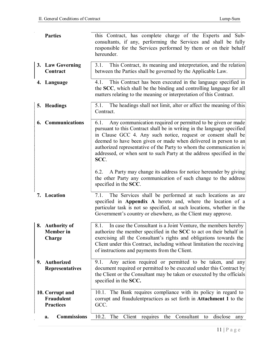| <b>Parties</b>                                    | this Contract, has complete charge of the Experts and Sub-<br>consultants, if any, performing the Services and shall be fully<br>responsible for the Services performed by them or on their behalf<br>hereunder.                                                                                                                                                                                                                                                                                                  |
|---------------------------------------------------|-------------------------------------------------------------------------------------------------------------------------------------------------------------------------------------------------------------------------------------------------------------------------------------------------------------------------------------------------------------------------------------------------------------------------------------------------------------------------------------------------------------------|
| 3. Law Governing<br>Contract                      | This Contract, its meaning and interpretation, and the relation<br>3.1.<br>between the Parties shall be governed by the Applicable Law.                                                                                                                                                                                                                                                                                                                                                                           |
| 4. Language                                       | This Contract has been executed in the language specified in<br>4.1.<br>the SCC, which shall be the binding and controlling language for all<br>matters relating to the meaning or interpretation of this Contract.                                                                                                                                                                                                                                                                                               |
| 5. Headings                                       | 5.1. The headings shall not limit, alter or affect the meaning of this<br>Contract.                                                                                                                                                                                                                                                                                                                                                                                                                               |
| 6. Communications                                 | 6.1. Any communication required or permitted to be given or made<br>pursuant to this Contract shall be in writing in the language specified<br>in Clause GCC 4. Any such notice, request or consent shall be<br>deemed to have been given or made when delivered in person to an<br>authorized representative of the Party to whom the communication is<br>addressed, or when sent to such Party at the address specified in the<br>SCC.<br>A Party may change its address for notice hereunder by giving<br>6.2. |
|                                                   | the other Party any communication of such change to the address<br>specified in the SCC.                                                                                                                                                                                                                                                                                                                                                                                                                          |
| 7. Location                                       | 7.1. The Services shall be performed at such locations as are<br>specified in <b>Appendix A</b> hereto and, where the location of a<br>particular task is not so specified, at such locations, whether in the<br>Government's country or elsewhere, as the Client may approve.                                                                                                                                                                                                                                    |
| 8. Authority of<br><b>Member</b> in<br>Charge     | In case the Consultant is a Joint Venture, the members hereby<br>8.1.<br>authorize the member specified in the SCC to act on their behalf in<br>exercising all the Consultant's rights and obligations towards the<br>Client under this Contract, including without limitation the receiving<br>of instructions and payments from the Client.                                                                                                                                                                     |
| 9. Authorized<br><b>Representatives</b>           | Any action required or permitted to be taken, and any<br>9.1.<br>document required or permitted to be executed under this Contract by<br>the Client or the Consultant may be taken or executed by the officials<br>specified in the SCC.                                                                                                                                                                                                                                                                          |
| 10. Corrupt and<br>Fraudulent<br><b>Practices</b> | 10.1. The Bank requires compliance with its policy in regard to<br>corrupt and fraudulent practices as set forth in Attachment 1 to the<br>GCC.                                                                                                                                                                                                                                                                                                                                                                   |
| <b>Commissions</b><br>a.                          | Client<br>10.2.<br>The<br>requires<br>Consultant<br>disclose<br>the<br>to<br>any                                                                                                                                                                                                                                                                                                                                                                                                                                  |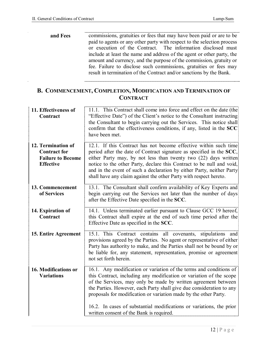| and Fees | commissions, gratuities or fees that may have been paid or are to be<br>paid to agents or any other party with respect to the selection process<br>or execution of the Contract. The information disclosed must<br>include at least the name and address of the agent or other party, the |
|----------|-------------------------------------------------------------------------------------------------------------------------------------------------------------------------------------------------------------------------------------------------------------------------------------------|
|          | amount and currency, and the purpose of the commission, gratuity or<br>fee. Failure to disclose such commissions, gratuities or fees may<br>result in termination of the Contract and/or sanctions by the Bank.                                                                           |

## **B. COMMENCEMENT, COMPLETION, MODIFICATION AND TERMINATION OF CONTRACT**

| 11. Effectiveness of<br>Contract                                                          | 11.1. This Contract shall come into force and effect on the date (the<br>"Effective Date") of the Client's notice to the Consultant instructing<br>the Consultant to begin carrying out the Services. This notice shall<br>confirm that the effectiveness conditions, if any, listed in the SCC<br>have been met.                                                                                                                  |
|-------------------------------------------------------------------------------------------|------------------------------------------------------------------------------------------------------------------------------------------------------------------------------------------------------------------------------------------------------------------------------------------------------------------------------------------------------------------------------------------------------------------------------------|
| 12. Termination of<br><b>Contract for</b><br><b>Failure to Become</b><br><b>Effective</b> | 12.1. If this Contract has not become effective within such time<br>period after the date of Contract signature as specified in the SCC,<br>either Party may, by not less than twenty two (22) days written<br>notice to the other Party, declare this Contract to be null and void,<br>and in the event of such a declaration by either Party, neither Party<br>shall have any claim against the other Party with respect hereto. |
| 13. Commencement<br>of Services                                                           | 13.1. The Consultant shall confirm availability of Key Experts and<br>begin carrying out the Services not later than the number of days<br>after the Effective Date specified in the SCC.                                                                                                                                                                                                                                          |
| 14. Expiration of<br>Contract                                                             | 14.1. Unless terminated earlier pursuant to Clause GCC 19 hereof,<br>this Contract shall expire at the end of such time period after the<br>Effective Date as specified in the SCC.                                                                                                                                                                                                                                                |
| 15. Entire Agreement                                                                      | 15.1. This Contract contains all covenants, stipulations and<br>provisions agreed by the Parties. No agent or representative of either<br>Party has authority to make, and the Parties shall not be bound by or<br>be liable for, any statement, representation, promise or agreement<br>not set forth herein.                                                                                                                     |
| 16. Modifications or<br><b>Variations</b>                                                 | 16.1. Any modification or variation of the terms and conditions of<br>this Contract, including any modification or variation of the scope<br>of the Services, may only be made by written agreement between<br>the Parties. However, each Party shall give due consideration to any<br>proposals for modification or variation made by the other Party.                                                                            |
|                                                                                           | 16.2. In cases of substantial modifications or variations, the prior<br>written consent of the Bank is required.                                                                                                                                                                                                                                                                                                                   |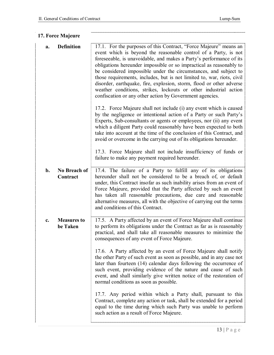| 17. Force Majeure                          |                                                                                                                                                                                                                                                                                                                                                                                                                                                                                                                                                                                                                                                                                                                                                                                                                                                                                                                                                                                                                                                                                                                                                                                                          |
|--------------------------------------------|----------------------------------------------------------------------------------------------------------------------------------------------------------------------------------------------------------------------------------------------------------------------------------------------------------------------------------------------------------------------------------------------------------------------------------------------------------------------------------------------------------------------------------------------------------------------------------------------------------------------------------------------------------------------------------------------------------------------------------------------------------------------------------------------------------------------------------------------------------------------------------------------------------------------------------------------------------------------------------------------------------------------------------------------------------------------------------------------------------------------------------------------------------------------------------------------------------|
| <b>Definition</b><br>a.                    | 17.1. For the purposes of this Contract, "Force Majeure" means an<br>event which is beyond the reasonable control of a Party, is not<br>foreseeable, is unavoidable, and makes a Party's performance of its<br>obligations hereunder impossible or so impractical as reasonably to<br>be considered impossible under the circumstances, and subject to<br>those requirements, includes, but is not limited to, war, riots, civil<br>disorder, earthquake, fire, explosion, storm, flood or other adverse<br>weather conditions, strikes, lockouts or other industrial action<br>confiscation or any other action by Government agencies.<br>17.2. Force Majeure shall not include (i) any event which is caused<br>by the negligence or intentional action of a Party or such Party's<br>Experts, Sub-consultants or agents or employees, nor (ii) any event<br>which a diligent Party could reasonably have been expected to both<br>take into account at the time of the conclusion of this Contract, and<br>avoid or overcome in the carrying out of its obligations hereunder.<br>17.3. Force Majeure shall not include insufficiency of funds or<br>failure to make any payment required hereunder. |
| No Breach of<br>$\mathbf{b}$ .<br>Contract | 17.4. The failure of a Party to fulfill any of its obligations<br>hereunder shall not be considered to be a breach of, or default<br>under, this Contract insofar as such inability arises from an event of<br>Force Majeure, provided that the Party affected by such an event<br>has taken all reasonable precautions, due care and reasonable<br>alternative measures, all with the objective of carrying out the terms<br>and conditions of this Contract.                                                                                                                                                                                                                                                                                                                                                                                                                                                                                                                                                                                                                                                                                                                                           |
| <b>Measures to</b><br>c.<br>be Taken       | 17.5. A Party affected by an event of Force Majeure shall continue<br>to perform its obligations under the Contract as far as is reasonably<br>practical, and shall take all reasonable measures to minimize the<br>consequences of any event of Force Majeure.<br>17.6. A Party affected by an event of Force Majeure shall notify<br>the other Party of such event as soon as possible, and in any case not<br>later than fourteen (14) calendar days following the occurrence of<br>such event, providing evidence of the nature and cause of such<br>event, and shall similarly give written notice of the restoration of<br>normal conditions as soon as possible.<br>17.7. Any period within which a Party shall, pursuant to this<br>Contract, complete any action or task, shall be extended for a period<br>equal to the time during which such Party was unable to perform<br>such action as a result of Force Majeure.                                                                                                                                                                                                                                                                        |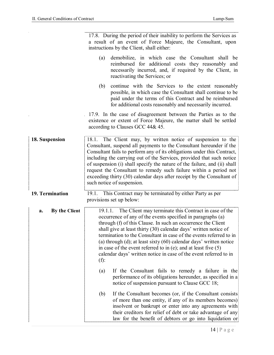|                     | 17.8. During the period of their inability to perform the Services as                                                                                                                                                                                                                                                                                                                                                                                                                                                                                              |
|---------------------|--------------------------------------------------------------------------------------------------------------------------------------------------------------------------------------------------------------------------------------------------------------------------------------------------------------------------------------------------------------------------------------------------------------------------------------------------------------------------------------------------------------------------------------------------------------------|
|                     | a result of an event of Force Majeure, the Consultant, upon                                                                                                                                                                                                                                                                                                                                                                                                                                                                                                        |
|                     | instructions by the Client, shall either:                                                                                                                                                                                                                                                                                                                                                                                                                                                                                                                          |
|                     | demobilize, in which case the Consultant shall be<br>(a)<br>reimbursed for additional costs they reasonably and<br>necessarily incurred, and, if required by the Client, in<br>reactivating the Services; or                                                                                                                                                                                                                                                                                                                                                       |
|                     | continue with the Services to the extent reasonably<br>(b)<br>possible, in which case the Consultant shall continue to be<br>paid under the terms of this Contract and be reimbursed<br>for additional costs reasonably and necessarily incurred.                                                                                                                                                                                                                                                                                                                  |
|                     | 17.9. In the case of disagreement between the Parties as to the<br>existence or extent of Force Majeure, the matter shall be settled<br>according to Clauses GCC 44& 45.                                                                                                                                                                                                                                                                                                                                                                                           |
| 18. Suspension      | 18.1. The Client may, by written notice of suspension to the<br>Consultant, suspend all payments to the Consultant hereunder if the<br>Consultant fails to perform any of its obligations under this Contract,<br>including the carrying out of the Services, provided that such notice<br>of suspension (i) shall specify the nature of the failure, and (ii) shall<br>request the Consultant to remedy such failure within a period not<br>exceeding thirty (30) calendar days after receipt by the Consultant of<br>such notice of suspension.                  |
| 19. Termination     | 19.1. This Contract may be terminated by either Party as per<br>provisions set up below:                                                                                                                                                                                                                                                                                                                                                                                                                                                                           |
| By the Client<br>a. | The Client may terminate this Contract in case of the<br>19.1.1.<br>occurrence of any of the events specified in paragraphs (a)<br>through (f) of this Clause. In such an occurrence the Client<br>shall give at least thirty (30) calendar days' written notice of<br>termination to the Consultant in case of the events referred to in<br>(a) through (d); at least sixty $(60)$ calendar days' written notice<br>in case of the event referred to in (e); and at least five $(5)$<br>calendar days' written notice in case of the event referred to in<br>(f): |
|                     | If the Consultant fails to remedy a failure in the<br>(a)<br>performance of its obligations hereunder, as specified in a<br>notice of suspension pursuant to Clause GCC 18;                                                                                                                                                                                                                                                                                                                                                                                        |
|                     | If the Consultant becomes (or, if the Consultant consists)<br>(b)<br>of more than one entity, if any of its members becomes)<br>insolvent or bankrupt or enter into any agreements with<br>their creditors for relief of debt or take advantage of any<br>law for the benefit of debtors or go into liquidation or                                                                                                                                                                                                                                                 |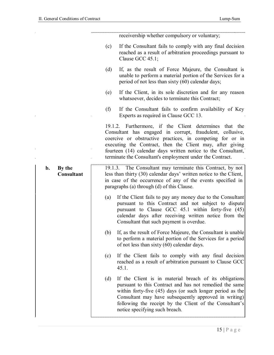| receivership whether compulsory or voluntary;                                                                                                                                                                                                                                                                                                                               |
|-----------------------------------------------------------------------------------------------------------------------------------------------------------------------------------------------------------------------------------------------------------------------------------------------------------------------------------------------------------------------------|
| If the Consultant fails to comply with any final decision<br>(c)<br>reached as a result of arbitration proceedings pursuant to<br>Clause GCC 45.1;                                                                                                                                                                                                                          |
| (d)<br>If, as the result of Force Majeure, the Consultant is<br>unable to perform a material portion of the Services for a<br>period of not less than sixty (60) calendar days;                                                                                                                                                                                             |
| If the Client, in its sole discretion and for any reason<br>(e)<br>whatsoever, decides to terminate this Contract;                                                                                                                                                                                                                                                          |
| (f)<br>If the Consultant fails to confirm availability of Key<br>Experts as required in Clause GCC 13.                                                                                                                                                                                                                                                                      |
| 19.1.2. Furthermore, if the Client determines that the<br>Consultant has engaged in corrupt, fraudulent, collusive,<br>coercive or obstructive practices, in competing for or in<br>executing the Contract, then the Client may, after giving<br>fourteen (14) calendar days written notice to the Consultant,<br>terminate the Consultant's employment under the Contract. |
| The Consultant may terminate this Contract, by not<br>19.1.3.<br>less than thirty (30) calendar days' written notice to the Client,<br>in case of the occurrence of any of the events specified in<br>paragraphs (a) through (d) of this Clause.                                                                                                                            |
| If the Client fails to pay any money due to the Consultant<br>(a)<br>pursuant to this Contract and not subject to dispute<br>pursuant to Clause GCC $45.1$ within forty-five $(45)$<br>calendar days after receiving written notice from the<br>Consultant that such payment is overdue.                                                                                    |
| If, as the result of Force Majeure, the Consultant is unable<br>(b)<br>to perform a material portion of the Services for a period<br>of not less than sixty $(60)$ calendar days.                                                                                                                                                                                           |
| If the Client fails to comply with any final decision<br>(c)<br>reached as a result of arbitration pursuant to Clause GCC<br>45.1.                                                                                                                                                                                                                                          |
| (d)<br>If the Client is in material breach of its obligations<br>pursuant to this Contract and has not remedied the same<br>within forty-five (45) days (or such longer period as the<br>Consultant may have subsequently approved in writing)<br>following the receipt by the Client of the Consultant's<br>notice specifying such breach.                                 |
|                                                                                                                                                                                                                                                                                                                                                                             |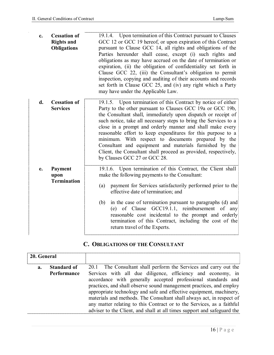| $c_{\bullet}$ | <b>Cessation of</b><br><b>Rights and</b><br><b>Obligations</b> | 19.1.4. Upon termination of this Contract pursuant to Clauses<br>GCC 12 or GCC 19 hereof, or upon expiration of this Contract<br>pursuant to Clause GCC 14, all rights and obligations of the<br>Parties hereunder shall cease, except (i) such rights and<br>obligations as may have accrued on the date of termination or<br>expiration, (ii) the obligation of confidentiality set forth in<br>Clause GCC 22, (iii) the Consultant's obligation to permit<br>inspection, copying and auditing of their accounts and records<br>set forth in Clause GCC 25, and (iv) any right which a Party<br>may have under the Applicable Law. |
|---------------|----------------------------------------------------------------|--------------------------------------------------------------------------------------------------------------------------------------------------------------------------------------------------------------------------------------------------------------------------------------------------------------------------------------------------------------------------------------------------------------------------------------------------------------------------------------------------------------------------------------------------------------------------------------------------------------------------------------|
| d.            | <b>Cessation of</b><br><b>Services</b>                         | 19.1.5. Upon termination of this Contract by notice of either<br>Party to the other pursuant to Clauses GCC 19a or GCC 19b,<br>the Consultant shall, immediately upon dispatch or receipt of<br>such notice, take all necessary steps to bring the Services to a<br>close in a prompt and orderly manner and shall make every<br>reasonable effort to keep expenditures for this purpose to a<br>minimum. With respect to documents prepared by the<br>Consultant and equipment and materials furnished by the<br>Client, the Consultant shall proceed as provided, respectively,<br>by Clauses GCC 27 or GCC 28.                    |
| e.            | <b>Payment</b><br>upon<br><b>Termination</b>                   | 19.1.6. Upon termination of this Contract, the Client shall<br>make the following payments to the Consultant:<br>payment for Services satisfactorily performed prior to the<br>(a)<br>effective date of termination; and<br>in the case of termination pursuant to paragraphs (d) and<br>(b)<br>(e) of Clause GCC19.1.1, reimbursement of any<br>reasonable cost incidental to the prompt and orderly<br>termination of this Contract, including the cost of the<br>return travel of the Experts.                                                                                                                                    |

## **C. OBLIGATIONS OF THE CONSULTANT**

| 20. General |                                          |                                                                                                                                                                                                                                                                                                                                                                                                                                                                                                                                                                              |
|-------------|------------------------------------------|------------------------------------------------------------------------------------------------------------------------------------------------------------------------------------------------------------------------------------------------------------------------------------------------------------------------------------------------------------------------------------------------------------------------------------------------------------------------------------------------------------------------------------------------------------------------------|
| $a_{\cdot}$ | <b>Standard of</b><br><b>Performance</b> | 20.1 The Consultant shall perform the Services and carry out the<br>Services with all due diligence, efficiency and economy, in<br>accordance with generally accepted professional standards and<br>practices, and shall observe sound management practices, and employ<br>appropriate technology and safe and effective equipment, machinery,<br>materials and methods. The Consultant shall always act, in respect of<br>any matter relating to this Contract or to the Services, as a faithful<br>adviser to the Client, and shall at all times support and safeguard the |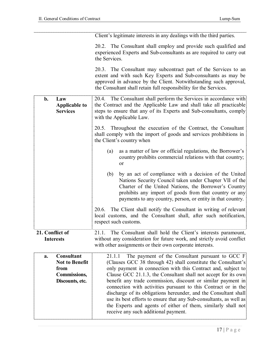|                                                                                             | Client's legitimate interests in any dealings with the third parties.                                                                                                                                                                                                                                                                                                                                                                                                                                                                                                                                                                                 |
|---------------------------------------------------------------------------------------------|-------------------------------------------------------------------------------------------------------------------------------------------------------------------------------------------------------------------------------------------------------------------------------------------------------------------------------------------------------------------------------------------------------------------------------------------------------------------------------------------------------------------------------------------------------------------------------------------------------------------------------------------------------|
|                                                                                             | 20.2. The Consultant shall employ and provide such qualified and<br>experienced Experts and Sub-consultants as are required to carry out<br>the Services.                                                                                                                                                                                                                                                                                                                                                                                                                                                                                             |
|                                                                                             | 20.3. The Consultant may subcontract part of the Services to an<br>extent and with such Key Experts and Sub-consultants as may be<br>approved in advance by the Client. Notwithstanding such approval,<br>the Consultant shall retain full responsibility for the Services.                                                                                                                                                                                                                                                                                                                                                                           |
| b.<br>Law<br><b>Applicable to</b><br><b>Services</b>                                        | 20.4. The Consultant shall perform the Services in accordance with<br>the Contract and the Applicable Law and shall take all practicable<br>steps to ensure that any of its Experts and Sub-consultants, comply<br>with the Applicable Law.                                                                                                                                                                                                                                                                                                                                                                                                           |
|                                                                                             | 20.5. Throughout the execution of the Contract, the Consultant<br>shall comply with the import of goods and services prohibitions in<br>the Client's country when                                                                                                                                                                                                                                                                                                                                                                                                                                                                                     |
|                                                                                             | as a matter of law or official regulations, the Borrower's<br>(a)<br>country prohibits commercial relations with that country;<br>or                                                                                                                                                                                                                                                                                                                                                                                                                                                                                                                  |
|                                                                                             | by an act of compliance with a decision of the United<br>(b)<br>Nations Security Council taken under Chapter VII of the<br>Charter of the United Nations, the Borrower's Country<br>prohibits any import of goods from that country or any<br>payments to any country, person, or entity in that country.                                                                                                                                                                                                                                                                                                                                             |
|                                                                                             | 20.6.<br>The Client shall notify the Consultant in writing of relevant<br>local customs, and the Consultant shall, after such notification,<br>respect such customs.                                                                                                                                                                                                                                                                                                                                                                                                                                                                                  |
| 21. Conflict of<br><b>Interests</b>                                                         | 21.1.<br>The Consultant shall hold the Client's interests paramount,<br>without any consideration for future work, and strictly avoid conflict<br>with other assignments or their own corporate interests.                                                                                                                                                                                                                                                                                                                                                                                                                                            |
| Consultant<br>a.<br><b>Not to Benefit</b><br>from<br><b>Commissions,</b><br>Discounts, etc. | The payment of the Consultant pursuant to GCC $F$<br>21.1.1<br>(Clauses GCC 38 through 42) shall constitute the Consultant's<br>only payment in connection with this Contract and, subject to<br>Clause GCC 21.1.3, the Consultant shall not accept for its own<br>benefit any trade commission, discount or similar payment in<br>connection with activities pursuant to this Contract or in the<br>discharge of its obligations hereunder, and the Consultant shall<br>use its best efforts to ensure that any Sub-consultants, as well as<br>the Experts and agents of either of them, similarly shall not<br>receive any such additional payment. |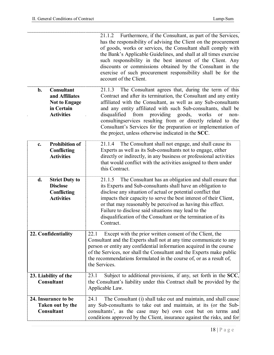|                                                                                                         | 21.1.2 Furthermore, if the Consultant, as part of the Services,<br>has the responsibility of advising the Client on the procurement<br>of goods, works or services, the Consultant shall comply with<br>the Bank's Applicable Guidelines, and shall at all times exercise<br>such responsibility in the best interest of the Client. Any<br>discounts or commissions obtained by the Consultant in the<br>exercise of such procurement responsibility shall be for the<br>account of the Client.                            |
|---------------------------------------------------------------------------------------------------------|-----------------------------------------------------------------------------------------------------------------------------------------------------------------------------------------------------------------------------------------------------------------------------------------------------------------------------------------------------------------------------------------------------------------------------------------------------------------------------------------------------------------------------|
| <b>Consultant</b><br>$b$ .<br>and Affiliates<br><b>Not to Engage</b><br>in Certain<br><b>Activities</b> | The Consultant agrees that, during the term of this<br>21.1.3<br>Contract and after its termination, the Consultant and any entity<br>affiliated with the Consultant, as well as any Sub-consultants<br>and any entity affiliated with such Sub-consultants, shall be<br>disqualified<br>from providing goods, works<br>or<br>non-<br>consultingservices resulting from or directly related to the<br>Consultant's Services for the preparation or implementation of<br>the project, unless otherwise indicated in the SCC. |
| <b>Prohibition of</b><br>c.<br>Conflicting<br><b>Activities</b>                                         | The Consultant shall not engage, and shall cause its<br>21.1.4<br>Experts as well as its Sub-consultants not to engage, either<br>directly or indirectly, in any business or professional activities<br>that would conflict with the activities assigned to them under<br>this Contract.                                                                                                                                                                                                                                    |
| d.<br><b>Strict Duty to</b><br><b>Disclose</b><br>Conflicting<br><b>Activities</b>                      | 21.1.5 The Consultant has an obligation and shall ensure that<br>its Experts and Sub-consultants shall have an obligation to<br>disclose any situation of actual or potential conflict that<br>impacts their capacity to serve the best interest of their Client,<br>or that may reasonably be perceived as having this effect.<br>Failure to disclose said situations may lead to the<br>disqualification of the Consultant or the termination of its<br>Contract.                                                         |
| 22. Confidentiality                                                                                     | Except with the prior written consent of the Client, the<br>22.1<br>Consultant and the Experts shall not at any time communicate to any<br>person or entity any confidential information acquired in the course<br>of the Services, nor shall the Consultant and the Experts make public<br>the recommendations formulated in the course of, or as a result of,<br>the Services.                                                                                                                                            |
| 23. Liability of the<br>Consultant                                                                      | Subject to additional provisions, if any, set forth in the SCC,<br>23.1<br>the Consultant's liability under this Contract shall be provided by the<br>Applicable Law.                                                                                                                                                                                                                                                                                                                                                       |
| 24. Insurance to be<br>Taken out by the<br>Consultant                                                   | The Consultant (i) shall take out and maintain, and shall cause<br>24.1<br>any Sub-consultants to take out and maintain, at its (or the Sub-<br>consultants', as the case may be) own cost but on terms and<br>conditions approved by the Client, insurance against the risks, and for                                                                                                                                                                                                                                      |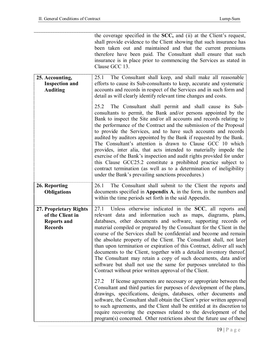|                                                                                    | the coverage specified in the SCC, and (ii) at the Client's request,<br>shall provide evidence to the Client showing that such insurance has<br>been taken out and maintained and that the current premiums<br>therefore have been paid. The Consultant shall ensure that such<br>insurance is in place prior to commencing the Services as stated in<br>Clause GCC 13.                                                                                                                                                                                                                                                                                                                                                                                                                                                             |
|------------------------------------------------------------------------------------|-------------------------------------------------------------------------------------------------------------------------------------------------------------------------------------------------------------------------------------------------------------------------------------------------------------------------------------------------------------------------------------------------------------------------------------------------------------------------------------------------------------------------------------------------------------------------------------------------------------------------------------------------------------------------------------------------------------------------------------------------------------------------------------------------------------------------------------|
| 25. Accounting,<br><b>Inspection and</b><br><b>Auditing</b>                        | The Consultant shall keep, and shall make all reasonable<br>25.1<br>efforts to cause its Sub-consultants to keep, accurate and systematic<br>accounts and records in respect of the Services and in such form and<br>detail as will clearly identify relevant time changes and costs.                                                                                                                                                                                                                                                                                                                                                                                                                                                                                                                                               |
|                                                                                    | The Consultant shall permit and shall cause its Sub-<br>25.2<br>consultants to permit, the Bank and/or persons appointed by the<br>Bank to inspect the Site and/or all accounts and records relating to<br>the performance of the Contract and the submission of the Proposal<br>to provide the Services, and to have such accounts and records<br>audited by auditors appointed by the Bank if requested by the Bank.<br>The Consultant's attention is drawn to Clause GCC 10 which<br>provides, inter alia, that acts intended to materially impede the<br>exercise of the Bank's inspection and audit rights provided for under<br>this Clause GCC25.2 constitute a prohibited practice subject to<br>contract termination (as well as to a determination of ineligibility<br>under the Bank's prevailing sanctions procedures.) |
| 26. Reporting<br><b>Obligations</b>                                                | The Consultant shall submit to the Client the reports and<br>26.1<br>documents specified in Appendix A, in the form, in the numbers and<br>within the time periods set forth in the said Appendix.                                                                                                                                                                                                                                                                                                                                                                                                                                                                                                                                                                                                                                  |
| 27. Proprietary Rights<br>of the Client in<br><b>Reports and</b><br><b>Records</b> | 27.1 Unless otherwise indicated in the SCC, all reports and<br>relevant data and information such as maps, diagrams, plans,<br>databases, other documents and software, supporting records or<br>material compiled or prepared by the Consultant for the Client in the<br>course of the Services shall be confidential and become and remain<br>the absolute property of the Client. The Consultant shall, not later<br>than upon termination or expiration of this Contract, deliver all such<br>documents to the Client, together with a detailed inventory thereof.<br>The Consultant may retain a copy of such documents, data and/or<br>software but shall not use the same for purposes unrelated to this<br>Contract without prior written approval of the Client.<br>27.2                                                   |
|                                                                                    | If license agreements are necessary or appropriate between the<br>Consultant and third parties for purposes of development of the plans,<br>drawings, specifications, designs, databases, other documents and<br>software, the Consultant shall obtain the Client's prior written approval<br>to such agreements, and the Client shall be entitled at its discretion to<br>require recovering the expenses related to the development of the<br>program(s) concerned. Other restrictions about the future use of these                                                                                                                                                                                                                                                                                                              |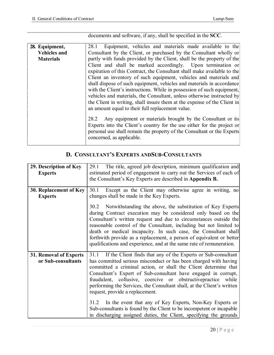|                                                           | documents and software, if any, shall be specified in the SCC.                                                                                                                                                                                                                                                                                                                                                                                                                                                                                                                                                                                                                                                                                                                                                                                                                                                                                                                                                                                        |
|-----------------------------------------------------------|-------------------------------------------------------------------------------------------------------------------------------------------------------------------------------------------------------------------------------------------------------------------------------------------------------------------------------------------------------------------------------------------------------------------------------------------------------------------------------------------------------------------------------------------------------------------------------------------------------------------------------------------------------------------------------------------------------------------------------------------------------------------------------------------------------------------------------------------------------------------------------------------------------------------------------------------------------------------------------------------------------------------------------------------------------|
| 28. Equipment,<br><b>Vehicles and</b><br><b>Materials</b> | Equipment, vehicles and materials made available to the<br>28.1<br>Consultant by the Client, or purchased by the Consultant wholly or<br>partly with funds provided by the Client, shall be the property of the<br>Client and shall be marked accordingly. Upon termination or<br>expiration of this Contract, the Consultant shall make available to the<br>Client an inventory of such equipment, vehicles and materials and<br>shall dispose of such equipment, vehicles and materials in accordance<br>with the Client's instructions. While in possession of such equipment,<br>vehicles and materials, the Consultant, unless otherwise instructed by<br>the Client in writing, shall insure them at the expense of the Client in<br>an amount equal to their full replacement value.<br>Any equipment or materials brought by the Consultant or its<br>28.2<br>Experts into the Client's country for the use either for the project or<br>personal use shall remain the property of the Consultant or the Experts<br>concerned, as applicable. |

# **D. CONSULTANT'S EXPERTS ANDSUB-CONSULTANTS**

| 29. Description of Key<br><b>Experts</b>            | The title, agreed job description, minimum qualification and<br>29.1<br>estimated period of engagement to carry out the Services of each of<br>the Consultant's Key Experts are described in Appendix B.                                                                                                                                                                                                                                                                                                                                                                                                                                                                     |
|-----------------------------------------------------|------------------------------------------------------------------------------------------------------------------------------------------------------------------------------------------------------------------------------------------------------------------------------------------------------------------------------------------------------------------------------------------------------------------------------------------------------------------------------------------------------------------------------------------------------------------------------------------------------------------------------------------------------------------------------|
| 30. Replacement of Key<br><b>Experts</b>            | 30.1 Except as the Client may otherwise agree in writing, no<br>changes shall be made in the Key Experts.<br>30.2 Notwithstanding the above, the substitution of Key Experts<br>during Contract execution may be considered only based on the<br>Consultant's written request and due to circumstances outside the<br>reasonable control of the Consultant, including but not limited to<br>death or medical incapacity. In such case, the Consultant shall<br>forthwith provide as a replacement, a person of equivalent or better<br>qualifications and experience, and at the same rate of remuneration.                                                                  |
| <b>31. Removal of Experts</b><br>or Sub-consultants | 31.1 If the Client finds that any of the Experts or Sub-consultant<br>has committed serious misconduct or has been charged with having<br>committed a criminal action, or shall the Client determine that<br>Consultant's Expert of Sub-consultant have engaged in corrupt,<br>fraudulent, collusive, coercive or obstructive practice while<br>performing the Services, the Consultant shall, at the Client's written<br>request, provide a replacement.<br>31.2<br>In the event that any of Key Experts, Non-Key Experts or<br>Sub-consultants is found by the Client to be incompetent or incapable<br>in discharging assigned duties, the Client, specifying the grounds |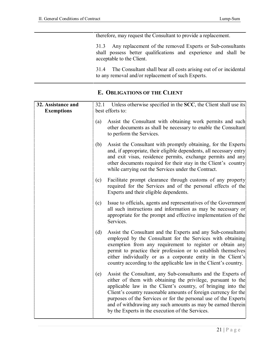| therefore, may request the Consultant to provide a replacement.                                                                                                |
|----------------------------------------------------------------------------------------------------------------------------------------------------------------|
| 31.3 Any replacement of the removed Experts or Sub-consultants<br>shall possess better qualifications and experience and shall be<br>acceptable to the Client. |
| 31.4 The Consultant shall bear all costs arising out of or incidental<br>to any removal and/or replacement of such Experts.                                    |

## **E. OBLIGATIONS OF THE CLIENT**

| 32. Assistance and<br><b>Exemptions</b> |     | 32.1 Unless otherwise specified in the SCC, the Client shall use its<br>best efforts to:                                                                                                                                                                                                                                                                                                                                                                |
|-----------------------------------------|-----|---------------------------------------------------------------------------------------------------------------------------------------------------------------------------------------------------------------------------------------------------------------------------------------------------------------------------------------------------------------------------------------------------------------------------------------------------------|
|                                         | (a) | Assist the Consultant with obtaining work permits and such<br>other documents as shall be necessary to enable the Consultant<br>to perform the Services.                                                                                                                                                                                                                                                                                                |
|                                         | (b) | Assist the Consultant with promptly obtaining, for the Experts<br>and, if appropriate, their eligible dependents, all necessary entry<br>and exit visas, residence permits, exchange permits and any<br>other documents required for their stay in the Client's country<br>while carrying out the Services under the Contract.                                                                                                                          |
|                                         | (c) | Facilitate prompt clearance through customs of any property<br>required for the Services and of the personal effects of the<br>Experts and their eligible dependents.                                                                                                                                                                                                                                                                                   |
|                                         | (c) | Issue to officials, agents and representatives of the Government<br>all such instructions and information as may be necessary or<br>appropriate for the prompt and effective implementation of the<br>Services.                                                                                                                                                                                                                                         |
|                                         | (d) | Assist the Consultant and the Experts and any Sub-consultants<br>employed by the Consultant for the Services with obtaining<br>exemption from any requirement to register or obtain any<br>permit to practice their profession or to establish themselves<br>either individually or as a corporate entity in the Client's<br>country according to the applicable law in the Client's country.                                                           |
|                                         | (e) | Assist the Consultant, any Sub-consultants and the Experts of<br>either of them with obtaining the privilege, pursuant to the<br>applicable law in the Client's country, of bringing into the<br>Client's country reasonable amounts of foreign currency for the<br>purposes of the Services or for the personal use of the Experts<br>and of withdrawing any such amounts as may be earned therein<br>by the Experts in the execution of the Services. |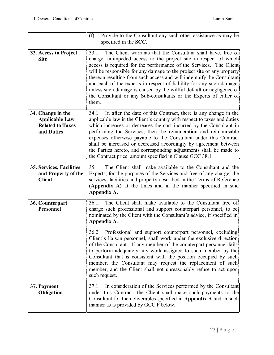|                                                                                     | Provide to the Consultant any such other assistance as may be<br>(f)<br>specified in the SCC.                                                                                                                                                                                                                                                                                                                                                                                                                                                                                                 |
|-------------------------------------------------------------------------------------|-----------------------------------------------------------------------------------------------------------------------------------------------------------------------------------------------------------------------------------------------------------------------------------------------------------------------------------------------------------------------------------------------------------------------------------------------------------------------------------------------------------------------------------------------------------------------------------------------|
| 33. Access to Project<br><b>Site</b>                                                | The Client warrants that the Consultant shall have, free of<br>33.1<br>charge, unimpeded access to the project site in respect of which<br>access is required for the performance of the Services. The Client<br>will be responsible for any damage to the project site or any property<br>thereon resulting from such access and will indemnify the Consultant<br>and each of the experts in respect of liability for any such damage,<br>unless such damage is caused by the willful default or negligence of<br>the Consultant or any Sub-consultants or the Experts of either of<br>them. |
| 34. Change in the<br><b>Applicable Law</b><br><b>Related to Taxes</b><br>and Duties | If, after the date of this Contract, there is any change in the<br>34.1<br>applicable law in the Client's country with respect to taxes and duties<br>which increases or decreases the cost incurred by the Consultant in<br>performing the Services, then the remuneration and reimbursable<br>expenses otherwise payable to the Consultant under this Contract<br>shall be increased or decreased accordingly by agreement between<br>the Parties hereto, and corresponding adjustments shall be made to<br>the Contract price amount specified in Clause GCC 38.1                          |
| 35. Services, Facilities<br>and Property of the<br><b>Client</b>                    | The Client shall make available to the Consultant and the<br>35.1<br>Experts, for the purposes of the Services and free of any charge, the<br>services, facilities and property described in the Terms of Reference<br>(Appendix A) at the times and in the manner specified in said<br>Appendix A.                                                                                                                                                                                                                                                                                           |
| 36. Counterpart<br>Personnel                                                        | The Client shall make available to the Consultant free of<br>36.1<br>charge such professional and support counterpart personnel, to be<br>nominated by the Client with the Consultant's advice, if specified in<br>Appendix A.                                                                                                                                                                                                                                                                                                                                                                |
|                                                                                     | 36.2 Professional and support counterpart personnel, excluding<br>Client's liaison personnel, shall work under the exclusive direction<br>of the Consultant. If any member of the counterpart personnel fails<br>to perform adequately any work assigned to such member by the<br>Consultant that is consistent with the position occupied by such<br>member, the Consultant may request the replacement of such<br>member, and the Client shall not unreasonably refuse to act upon<br>such request.                                                                                         |
| 37. Payment<br><b>Obligation</b>                                                    | In consideration of the Services performed by the Consultant<br>37.1<br>under this Contract, the Client shall make such payments to the<br>Consultant for the deliverables specified in Appendix A and in such<br>manner as is provided by GCC F below.                                                                                                                                                                                                                                                                                                                                       |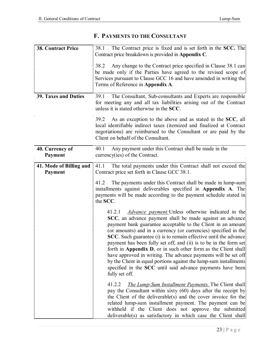|                                    | Contract price breakdown is provided in <b>Appendix C</b> .                                                                                                                                                                                                                                                                                                                                                                                                                                                                                                                                                                                                                                                  |
|------------------------------------|--------------------------------------------------------------------------------------------------------------------------------------------------------------------------------------------------------------------------------------------------------------------------------------------------------------------------------------------------------------------------------------------------------------------------------------------------------------------------------------------------------------------------------------------------------------------------------------------------------------------------------------------------------------------------------------------------------------|
|                                    | Any change to the Contract price specified in Clause 38.1 can<br>38.2<br>be made only if the Parties have agreed to the revised scope of<br>Services pursuant to Clause GCC 16 and have amended in writing the<br>Terms of Reference in Appendix A.                                                                                                                                                                                                                                                                                                                                                                                                                                                          |
| <b>39. Taxes and Duties</b>        | The Consultant, Sub-consultants and Experts are responsible<br>39.1<br>for meeting any and all tax liabilities arising out of the Contract<br>unless it is stated otherwise in the SCC.                                                                                                                                                                                                                                                                                                                                                                                                                                                                                                                      |
|                                    | As an exception to the above and as stated in the SCC, all<br>39.2<br>local identifiable indirect taxes (itemized and finalized at Contract)<br>negotiations) are reimbursed to the Consultant or are paid by the<br>Client on behalf of the Consultant.                                                                                                                                                                                                                                                                                                                                                                                                                                                     |
| 40. Currency of<br><b>Payment</b>  | Any payment under this Contract shall be made in the<br>40.1<br>$curreacy(ies)$ of the Contract.                                                                                                                                                                                                                                                                                                                                                                                                                                                                                                                                                                                                             |
| 41. Mode of Billing and<br>Payment | 41.1<br>The total payments under this Contract shall not exceed the<br>Contract price set forth in Clause GCC 38.1.                                                                                                                                                                                                                                                                                                                                                                                                                                                                                                                                                                                          |
|                                    | The payments under this Contract shall be made in lump-sum<br>41.2<br>installments against deliverables specified in <b>Appendix A</b> . The<br>payments will be made according to the payment schedule stated in<br>the SCC.                                                                                                                                                                                                                                                                                                                                                                                                                                                                                |
|                                    | <i>Advance payment:</i> Unless otherwise indicated in the<br>41.2.1<br>SCC, an advance payment shall be made against an advance<br>payment bank guarantee acceptable to the Client in an amount<br>(or amounts) and in a currency (or currencies) specified in the<br><b>SCC</b> . Such guarantee (i) is to remain effective until the advance<br>payment has been fully set off, and (ii) is to be in the form set<br>forth in Appendix D, or in such other form as the Client shall<br>have approved in writing. The advance payments will be set off<br>by the Client in equal portions against the lump-sum installments<br>specified in the SCC until said advance payments have been<br>fully set off. |
|                                    | The Lump-Sum Installment Payments. The Client shall<br>41.2.2<br>pay the Consultant within sixty (60) days after the receipt by<br>the Client of the deliverable(s) and the cover invoice for the<br>related lump-sum installment payment. The payment can be<br>withheld if the Client does not approve the submitted<br>deliverable(s) as satisfactory in which case the Client shall                                                                                                                                                                                                                                                                                                                      |

#### **F. PAYMENTS TO THE CONSULTANT**

**38. Contract Price** 38.1 The Contract price is fixed and is set forth in the SCC. The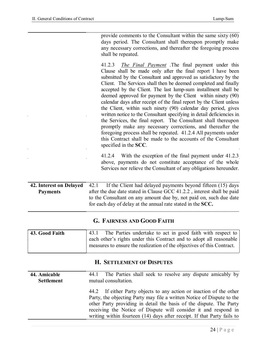|                                            | provide comments to the Consultant within the same sixty (60)<br>days period. The Consultant shall thereupon promptly make<br>any necessary corrections, and thereafter the foregoing process<br>shall be repeated.<br><i>The Final Payment</i> .The final payment under this<br>41.2.3<br>Clause shall be made only after the final report 1 have been<br>submitted by the Consultant and approved as satisfactory by the<br>Client. The Services shall then be deemed completed and finally<br>accepted by the Client. The last lump-sum installment shall be<br>deemed approved for payment by the Client within ninety (90)<br>calendar days after receipt of the final report by the Client unless<br>the Client, within such ninety (90) calendar day period, gives<br>written notice to the Consultant specifying in detail deficiencies in<br>the Services, the final report. The Consultant shall thereupon<br>promptly make any necessary corrections, and thereafter the<br>foregoing process shall be repeated. 41.2.4 All payments under<br>this Contract shall be made to the accounts of the Consultant<br>specified in the SCC. |
|--------------------------------------------|-------------------------------------------------------------------------------------------------------------------------------------------------------------------------------------------------------------------------------------------------------------------------------------------------------------------------------------------------------------------------------------------------------------------------------------------------------------------------------------------------------------------------------------------------------------------------------------------------------------------------------------------------------------------------------------------------------------------------------------------------------------------------------------------------------------------------------------------------------------------------------------------------------------------------------------------------------------------------------------------------------------------------------------------------------------------------------------------------------------------------------------------------|
|                                            | With the exception of the final payment under 41.2.3<br>41.2.4<br>above, payments do not constitute acceptance of the whole<br>Services nor relieve the Consultant of any obligations hereunder.                                                                                                                                                                                                                                                                                                                                                                                                                                                                                                                                                                                                                                                                                                                                                                                                                                                                                                                                                |
| 42. Interest on Delayed<br><b>Payments</b> | If the Client had delayed payments beyond fifteen (15) days<br>42.1<br>after the due date stated in Clause GCC 41.2.2, interest shall be paid<br>to the Consultant on any amount due by, not paid on, such due date<br>for each day of delay at the annual rate stated in the SCC.                                                                                                                                                                                                                                                                                                                                                                                                                                                                                                                                                                                                                                                                                                                                                                                                                                                              |

## **G. FAIRNESS AND GOOD FAITH**

| 43. Good Faith | The Parties undertake to act in good faith with respect to<br>43.1     |
|----------------|------------------------------------------------------------------------|
|                | each other's rights under this Contract and to adopt all reasonable    |
|                | measures to ensure the realization of the objectives of this Contract. |
|                |                                                                        |

## **H. SETTLEMENT OF DISPUTES**

| 44. Amicable      | 44.1 The Parties shall seek to resolve any dispute amicably by                                                                                                                                                                                                                                                                                                     |
|-------------------|--------------------------------------------------------------------------------------------------------------------------------------------------------------------------------------------------------------------------------------------------------------------------------------------------------------------------------------------------------------------|
| <b>Settlement</b> | mutual consultation.                                                                                                                                                                                                                                                                                                                                               |
|                   | 44.2 If either Party objects to any action or inaction of the other<br>Party, the objecting Party may file a written Notice of Dispute to the<br>other Party providing in detail the basis of the dispute. The Party<br>receiving the Notice of Dispute will consider it and respond in<br>writing within fourteen (14) days after receipt. If that Party fails to |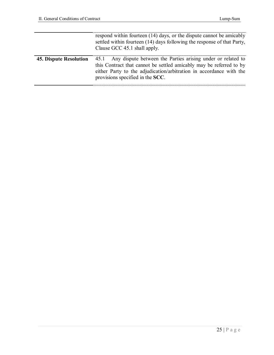|                        | respond within fourteen (14) days, or the dispute cannot be amicably<br>settled within fourteen (14) days following the response of that Party.<br>Clause GCC 45.1 shall apply.                                                                    |
|------------------------|----------------------------------------------------------------------------------------------------------------------------------------------------------------------------------------------------------------------------------------------------|
| 45. Dispute Resolution | 45.1 Any dispute between the Parties arising under or related to<br>this Contract that cannot be settled amicably may be referred to by<br>either Party to the adjudication/arbitration in accordance with the<br>provisions specified in the SCC. |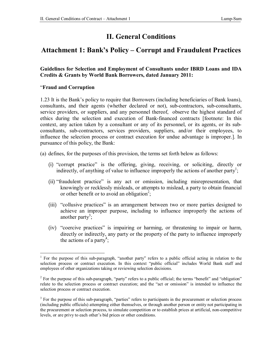# **II. General Conditions**

## **Attachment 1: Bank's Policy – Corrupt and Fraudulent Practices**

#### **Guidelines for Selection and Employment of Consultants under IBRD Loans and IDA Credits & Grants by World Bank Borrowers, dated January 2011:**

#### "**Fraud and Corruption**

1

1.23 It is the Bank's policy to require that Borrowers (including beneficiaries of Bank loans), consultants, and their agents (whether declared or not), sub-contractors, sub-consultants, service providers, or suppliers, and any personnel thereof, observe the highest standard of ethics during the selection and execution of Bank-financed contracts [footnote: In this context, any action taken by a consultant or any of its personnel, or its agents, or its subconsultants, sub-contractors, services providers, suppliers, and/or their employees, to influence the selection process or contract execution for undue advantage is improper.]. In pursuance of this policy, the Bank:

(a) defines, for the purposes of this provision, the terms set forth below as follows:

- (i) "corrupt practice" is the offering, giving, receiving, or soliciting, directly or indirectly, of anything of value to influence improperly the actions of another party<sup>1</sup>;
- (ii) "fraudulent practice" is any act or omission, including misrepresentation, that knowingly or recklessly misleads, or attempts to mislead, a party to obtain financial or other benefit or to avoid an obligation<sup>2</sup>;
- (iii) "collusive practices" is an arrangement between two or more parties designed to achieve an improper purpose, including to influence improperly the actions of another party<sup>3</sup>;
- (iv) "coercive practices" is impairing or harming, or threatening to impair or harm, directly or indirectly, any party or the property of the party to influence improperly the actions of a party<sup>4</sup>;

<sup>&</sup>lt;sup>1</sup> For the purpose of this sub-paragraph, "another party" refers to a public official acting in relation to the selection process or contract execution. In this context "public official" includes World Bank staff and employees of other organizations taking or reviewing selection decisions.

<sup>&</sup>lt;sup>2</sup> For the purpose of this sub-paragraph, "party" refers to a public official; the terms "benefit" and "obligation" relate to the selection process or contract execution; and the "act or omission" is intended to influence the selection process or contract execution.

 $3$  For the purpose of this sub-paragraph, "parties" refers to participants in the procurement or selection process (including public officials) attempting either themselves, or through another person or entity not participating in the procurement or selection process, to simulate competition or to establish prices at artificial, non-competitive levels, or are privy to each other's bid prices or other conditions.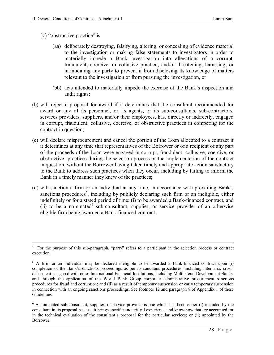- (v) "obstructive practice" is
	- (aa) deliberately destroying, falsifying, altering, or concealing of evidence material to the investigation or making false statements to investigators in order to materially impede a Bank investigation into allegations of a corrupt, fraudulent, coercive, or collusive practice; and/or threatening, harassing, or intimidating any party to prevent it from disclosing its knowledge of matters relevant to the investigation or from pursuing the investigation, or
	- (bb) acts intended to materially impede the exercise of the Bank's inspection and audit rights;
- (b) will reject a proposal for award if it determines that the consultant recommended for award or any of its personnel, or its agents, or its sub-consultants, sub-contractors, services providers, suppliers, and/or their employees, has, directly or indirectly, engaged in corrupt, fraudulent, collusive, coercive, or obstructive practices in competing for the contract in question;
- (c) will declare misprocurement and cancel the portion of the Loan allocated to a contract if it determines at any time that representatives of the Borrower or of a recipient of any part of the proceeds of the Loan were engaged in corrupt, fraudulent, collusive, coercive, or obstructive practices during the selection process or the implementation of the contract in question, without the Borrower having taken timely and appropriate action satisfactory to the Bank to address such practices when they occur, including by failing to inform the Bank in a timely manner they knew of the practices;
- (d) will sanction a firm or an individual at any time, in accordance with prevailing Bank's sanctions procedures<sup>5</sup>, including by publicly declaring such firm or an ineligible, either indefinitely or for a stated period of time: (i) to be awarded a Bank-financed contract, and (ii) to be a nominated  $6$  sub-consultant, supplier, or service provider of an otherwise eligible firm being awarded a Bank-financed contract.

<sup>&</sup>lt;u>.</u> 4 For the purpose of this sub-paragraph, "party" refers to a participant in the selection process or contract execution.

 $5$  A firm or an individual may be declared ineligible to be awarded a Bank-financed contract upon (i) completion of the Bank's sanctions proceedings as per its sanctions procedures, including inter alia: crossdebarment as agreed with other International Financial Institutions, including Multilateral Development Banks, and through the application of the World Bank Group corporate administrative procurement sanctions procedures for fraud and corruption; and (ii) as a result of temporary suspension or early temporary suspension in connection with an ongoing sanctions proceedings. See footnote 12 and paragraph 8 of Appendix 1 of these Guidelines.

<sup>&</sup>lt;sup>6</sup> A nominated sub-consultant, supplier, or service provider is one which has been either (i) included by the consultant in its proposal because it brings specific and critical experience and know-how that are accounted for in the technical evaluation of the consultant's proposal for the particular services; or (ii) appointed by the Borrower.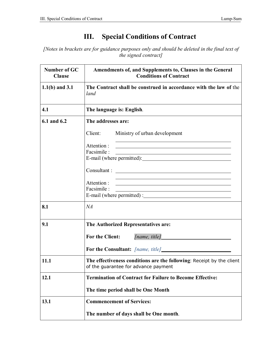# **III. Special Conditions of Contract**

*[Notes in brackets are for guidance purposes only and should be deleted in the final text of the signed contract]*

| <b>Number of GC</b><br><b>Clause</b> | Amendments of, and Supplements to, Clauses in the General<br><b>Conditions of Contract</b>                                                                                                        |
|--------------------------------------|---------------------------------------------------------------------------------------------------------------------------------------------------------------------------------------------------|
| $1.1(b)$ and $3.1$                   | The Contract shall be construed in accordance with the law of the<br>land                                                                                                                         |
| 4.1                                  | The language is: English.                                                                                                                                                                         |
| 6.1 and 6.2                          | The addresses are:                                                                                                                                                                                |
|                                      | Client:<br>Ministry of urban development                                                                                                                                                          |
|                                      | Attention:<br><u> 1980 - Johann Barn, mars ann an t-Amhain Aonaich an t-Aonaich an t-Aonaich an t-Aonaich an t-Aonaich an t-Aon</u>                                                               |
|                                      | Facsimile :<br><u> 1980 - Johann Stoff, deutscher Stoffen und der Stoffen und der Stoffen und der Stoffen und der Stoffen und der</u>                                                             |
|                                      |                                                                                                                                                                                                   |
|                                      | <u> 1989 - Johann Barn, amerikansk politiker (d. 1989)</u><br>Attention:<br><u> 1980 - Johann Stoff, deutscher Stoff, der Stoff, der Stoff, der Stoff, der Stoff, der Stoff, der Stoff, der S</u> |
|                                      | Facsimile :<br><u> 2000 - Jan James James Barnett, fransk politik (d. 1882)</u>                                                                                                                   |
| 8.1                                  | NA                                                                                                                                                                                                |
| 9.1                                  | The Authorized Representatives are:                                                                                                                                                               |
|                                      | <b>For the Client:</b><br>[name, title]                                                                                                                                                           |
|                                      |                                                                                                                                                                                                   |
| 11.1                                 | The effectiveness conditions are the following: Receipt by the client<br>of the guarantee for advance payment                                                                                     |
| 12.1                                 | <b>Termination of Contract for Failure to Become Effective:</b>                                                                                                                                   |
|                                      | The time period shall be One Month                                                                                                                                                                |
| 13.1                                 | <b>Commencement of Services:</b>                                                                                                                                                                  |
|                                      | The number of days shall be One month.                                                                                                                                                            |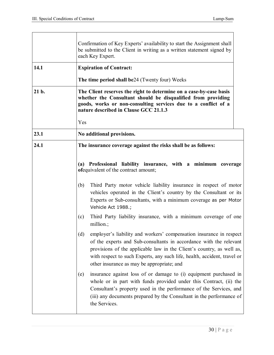|       | Confirmation of Key Experts' availability to start the Assignment shall<br>be submitted to the Client in writing as a written statement signed by<br>each Key Expert.                                                                                                                                                                               |
|-------|-----------------------------------------------------------------------------------------------------------------------------------------------------------------------------------------------------------------------------------------------------------------------------------------------------------------------------------------------------|
| 14.1  | <b>Expiration of Contract:</b>                                                                                                                                                                                                                                                                                                                      |
|       | The time period shall be24 (Twenty four) Weeks                                                                                                                                                                                                                                                                                                      |
| 21 b. | The Client reserves the right to determine on a case-by-case basis<br>whether the Consultant should be disqualified from providing<br>goods, works or non-consulting services due to a conflict of a<br>nature described in Clause GCC 21.1.3                                                                                                       |
|       | Yes                                                                                                                                                                                                                                                                                                                                                 |
| 23.1  | No additional provisions.                                                                                                                                                                                                                                                                                                                           |
| 24.1  | The insurance coverage against the risks shall be as follows:                                                                                                                                                                                                                                                                                       |
|       | (a) Professional liability insurance, with a minimum coverage<br>of equivalent of the contract amount;                                                                                                                                                                                                                                              |
|       | Third Party motor vehicle liability insurance in respect of motor<br>(b)<br>vehicles operated in the Client's country by the Consultant or its<br>Experts or Sub-consultants, with a minimum coverage as per Motor<br>Vehicle Act 1988.;                                                                                                            |
|       | Third Party liability insurance, with a minimum coverage of one<br>(c)<br>million.;                                                                                                                                                                                                                                                                 |
|       | employer's liability and workers' compensation insurance in respect<br>(d)<br>of the experts and Sub-consultants in accordance with the relevant<br>provisions of the applicable law in the Client's country, as well as,<br>with respect to such Experts, any such life, health, accident, travel or<br>other insurance as may be appropriate; and |
|       | insurance against loss of or damage to (i) equipment purchased in<br>(e)<br>whole or in part with funds provided under this Contract, (ii) the<br>Consultant's property used in the performance of the Services, and<br>(iii) any documents prepared by the Consultant in the performance of<br>the Services.                                       |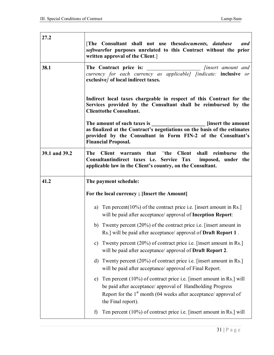| 27.2          |                                                                                                                                                                                                                                               |  |  |  |  |  |  |  |
|---------------|-----------------------------------------------------------------------------------------------------------------------------------------------------------------------------------------------------------------------------------------------|--|--|--|--|--|--|--|
|               | [The Consultant shall not use thesedocuments, database<br>and<br>softwarefor purposes unrelated to this Contract without the prior<br>written approval of the Client.                                                                         |  |  |  |  |  |  |  |
| 38.1          | The Contract price is:<br><i>finsert</i> amount and<br>currency for each currency as applicable] [indicate: inclusive or<br>exclusive/ of local indirect taxes.                                                                               |  |  |  |  |  |  |  |
|               | Indirect local taxes chargeable in respect of this Contract for the<br>Services provided by the Consultant shall be reimbursed by the<br><b>Clienttothe Consultant.</b>                                                                       |  |  |  |  |  |  |  |
|               | The amount of such taxes is<br><b>Solution</b> [insert the amount]<br>as finalized at the Contract's negotiations on the basis of the estimates<br>provided by the Consultant in Form FIN-2 of the Consultant's<br><b>Financial Proposal.</b> |  |  |  |  |  |  |  |
| 39.1 and 39.2 | <b>The</b><br>Client warrants that "the Client shall<br>reimburse<br>the<br>Consultantindirect taxes i.e. Service Tax<br>imposed, under the<br>applicable law in the Client's country, on the Consultant.                                     |  |  |  |  |  |  |  |
| 41.2          | The payment schedule:                                                                                                                                                                                                                         |  |  |  |  |  |  |  |
|               | For the local currency; [Insert the Amount]                                                                                                                                                                                                   |  |  |  |  |  |  |  |
|               | a) Ten percent $(10\%)$ of the contract price i.e. [insert amount in Rs.]<br>will be paid after acceptance/ approval of Inception Report:                                                                                                     |  |  |  |  |  |  |  |
|               | b) Twenty percent $(20\%)$ of the contract price i.e. [insert amount in<br>Rs.] will be paid after acceptance/ approval of <b>Draft Report 1</b> .                                                                                            |  |  |  |  |  |  |  |
|               | Twenty percent (20%) of contract price i.e. [insert amount in Rs.]<br>c)<br>will be paid after acceptance/ approval of Draft Report 2.                                                                                                        |  |  |  |  |  |  |  |
|               | Twenty percent (20%) of contract price i.e. [insert amount in Rs.]<br>d)<br>will be paid after acceptance/ approval of Final Report.                                                                                                          |  |  |  |  |  |  |  |
|               | Ten percent (10%) of contract price i.e. [insert amount in Rs.] will<br>e)<br>be paid after acceptance/ approval of Handholding Progress<br>Report for the $1st$ month (04 weeks after acceptance/ approval of<br>the Final report).          |  |  |  |  |  |  |  |
|               | Ten percent (10%) of contract price i.e. [insert amount in Rs.] will<br>$\mathbf{f}$                                                                                                                                                          |  |  |  |  |  |  |  |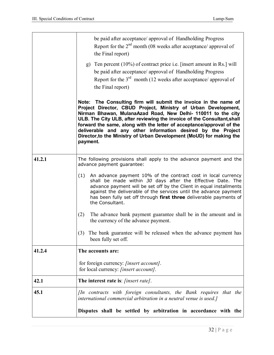|        | be paid after acceptance/ approval of Handholding Progress<br>Report for the $2nd$ month (08 weeks after acceptance/ approval of<br>the Final report)                                                                                                                                                                                                                                                                                                                                                       |
|--------|-------------------------------------------------------------------------------------------------------------------------------------------------------------------------------------------------------------------------------------------------------------------------------------------------------------------------------------------------------------------------------------------------------------------------------------------------------------------------------------------------------------|
|        | g) Ten percent $(10\%)$ of contract price i.e. [insert amount in Rs.] will<br>be paid after acceptance/ approval of Handholding Progress<br>Report for the $3rd$ month (12 weeks after acceptance/ approval of<br>the Final report)                                                                                                                                                                                                                                                                         |
|        | Note: The Consulting firm will submit the invoice in the name of<br>Project Director, CBUD Project, Ministry of Urban Development,<br>Nirman Bhawan, MulanaAzad Road, New Delhi- 110011 to the city<br>ULB. The City ULB, after reviewing the invoice of the Consultant, shall<br>forward the same, along with the letter of acceptance/approval of the<br>deliverable and any other information desired by the Project<br>Director, to the Ministry of Urban Development (MoUD) for making the<br>payment. |
| 41.2.1 | The following provisions shall apply to the advance payment and the<br>advance payment guarantee:                                                                                                                                                                                                                                                                                                                                                                                                           |
|        | An advance payment 10% of the contract cost in local currency<br>(1)<br>shall be made within 30 days after the Effective Date. The<br>advance payment will be set off by the Client in equal installments<br>against the deliverable of the services until the advance payment<br>has been fully set off through first three deliverable payments of<br>the Consultant.                                                                                                                                     |
|        | (2)<br>The advance bank payment guarantee shall be in the amount and in<br>the currency of the advance payment.                                                                                                                                                                                                                                                                                                                                                                                             |
|        | The bank guarantee will be released when the advance payment has<br>(3)<br>been fully set off.                                                                                                                                                                                                                                                                                                                                                                                                              |
| 41.2.4 | The accounts are:                                                                                                                                                                                                                                                                                                                                                                                                                                                                                           |
|        | for foreign currency: [insert account].<br>for local currency: <i>[insert account]</i> .                                                                                                                                                                                                                                                                                                                                                                                                                    |
| 42.1   | The interest rate is: [insert rate].                                                                                                                                                                                                                                                                                                                                                                                                                                                                        |
| 45.1   | [In contracts with foreign consultants, the Bank requires that the<br>international commercial arbitration in a neutral venue is used.]                                                                                                                                                                                                                                                                                                                                                                     |
|        | Disputes shall be settled by arbitration in accordance with the                                                                                                                                                                                                                                                                                                                                                                                                                                             |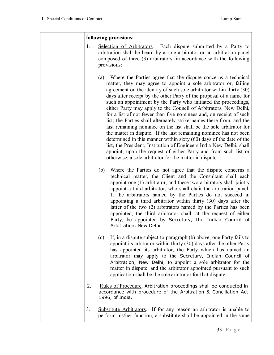|    | following provisions:                                                                                                                                                                                                                                                                                                                                                                                                                                                                                                                                                                                                                                                                                                                                                                                                                                                                                                                                                                             |
|----|---------------------------------------------------------------------------------------------------------------------------------------------------------------------------------------------------------------------------------------------------------------------------------------------------------------------------------------------------------------------------------------------------------------------------------------------------------------------------------------------------------------------------------------------------------------------------------------------------------------------------------------------------------------------------------------------------------------------------------------------------------------------------------------------------------------------------------------------------------------------------------------------------------------------------------------------------------------------------------------------------|
| 1. | Selection of Arbitrators. Each dispute submitted by a Party to<br>arbitration shall be heard by a sole arbitrator or an arbitration panel<br>composed of three (3) arbitrators, in accordance with the following<br>provisions:                                                                                                                                                                                                                                                                                                                                                                                                                                                                                                                                                                                                                                                                                                                                                                   |
|    | (a) Where the Parties agree that the dispute concerns a technical<br>matter, they may agree to appoint a sole arbitrator or, failing<br>agreement on the identity of such sole arbitrator within thirty (30)<br>days after receipt by the other Party of the proposal of a name for<br>such an appointment by the Party who initiated the proceedings,<br>either Party may apply to the Council of Arbitrators, New Delhi,<br>for a list of not fewer than five nominees and, on receipt of such<br>list, the Parties shall alternately strike names there from, and the<br>last remaining nominee on the list shall be the sole arbitrator for<br>the matter in dispute. If the last remaining nominee has not been<br>determined in this manner within sixty (60) days of the date of the<br>list, the President, Institution of Engineers India New Delhi, shall<br>appoint, upon the request of either Party and from such list or<br>otherwise, a sole arbitrator for the matter in dispute. |
|    | Where the Parties do not agree that the dispute concerns a<br>(b)<br>technical matter, the Client and the Consultant shall each<br>appoint one (1) arbitrator, and these two arbitrators shall jointly<br>appoint a third arbitrator, who shall chair the arbitration panel.<br>If the arbitrators named by the Parties do not succeed in<br>appointing a third arbitrator within thirty (30) days after the<br>latter of the two (2) arbitrators named by the Parties has been<br>appointed, the third arbitrator shall, at the request of either<br>Party, be appointed by Secretary, the Indian Council of<br>Arbitration, New Delhi                                                                                                                                                                                                                                                                                                                                                           |
|    | If, in a dispute subject to paragraph (b) above, one Party fails to<br>(c)<br>appoint its arbitrator within thirty (30) days after the other Party<br>has appointed its arbitrator, the Party which has named an<br>arbitrator may apply to the Secretary, Indian Council of<br>Arbitration, New Delhi, to appoint a sole arbitrator for the<br>matter in dispute, and the arbitrator appointed pursuant to such<br>application shall be the sole arbitrator for that dispute.                                                                                                                                                                                                                                                                                                                                                                                                                                                                                                                    |
| 2. | Rules of Procedure. Arbitration proceedings shall be conducted in<br>accordance with procedure of the Arbitration & Conciliation Act<br>1996, of India.                                                                                                                                                                                                                                                                                                                                                                                                                                                                                                                                                                                                                                                                                                                                                                                                                                           |
| 3. | Substitute Arbitrators. If for any reason an arbitrator is unable to<br>perform his/her function, a substitute shall be appointed in the same                                                                                                                                                                                                                                                                                                                                                                                                                                                                                                                                                                                                                                                                                                                                                                                                                                                     |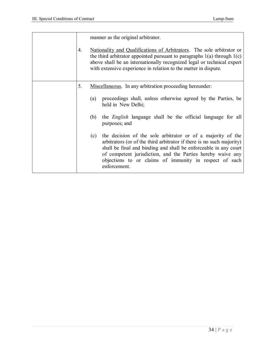| 4. | manner as the original arbitrator.<br>Nationality and Qualifications of Arbitrators. The sole arbitrator or<br>the third arbitrator appointed pursuant to paragraphs $1(a)$ through $1(c)$<br>above shall be an internationally recognized legal or technical expert<br>with extensive experience in relation to the matter in dispute.                  |
|----|----------------------------------------------------------------------------------------------------------------------------------------------------------------------------------------------------------------------------------------------------------------------------------------------------------------------------------------------------------|
|    |                                                                                                                                                                                                                                                                                                                                                          |
| 5. | Miscellaneous. In any arbitration proceeding hereunder:                                                                                                                                                                                                                                                                                                  |
|    | proceedings shall, unless otherwise agreed by the Parties, be<br>(a)<br>held in New Delhi;                                                                                                                                                                                                                                                               |
|    | the <i>English</i> language shall be the official language for all<br>(b)<br>purposes; and                                                                                                                                                                                                                                                               |
|    | the decision of the sole arbitrator or of a majority of the<br>(c)<br>arbitrators (or of the third arbitrator if there is no such majority)<br>shall be final and binding and shall be enforceable in any court<br>of competent jurisdiction, and the Parties hereby waive any<br>objections to or claims of immunity in respect of such<br>enforcement. |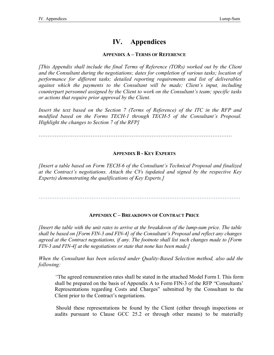# **IV. Appendices**

#### **APPENDIX A – TERMS OF REFERENCE**

*[This Appendix shall include the final Terms of Reference (TORs) worked out by the Client and the Consultant during the negotiations; dates for completion of various tasks; location of performance for different tasks; detailed reporting requirements and list of deliverables against which the payments to the Consultant will be made; Client's input, including counterpart personnel assigned by the Client to work on the Consultant's team; specific tasks or actions that require prior approval by the Client.* 

*Insert the text based on the Section 7 (Terms of Reference) of the ITC in the RFP and modified based on the Forms TECH-1 through TECH-5 of the Consultant's Proposal. Highlight the changes to Section 7 of the RFP]*

………………………………………………………………………………………………

#### **APPENDIX B - KEY EXPERTS**

*[Insert a table based on Form TECH-6 of the Consultant's Technical Proposal and finalized at the Contract's negotiations. Attach the CVs (updated and signed by the respective Key Experts) demonstrating the qualifications of Key Experts.]*

……………………………………………………………………………………………………

#### **APPENDIX C – BREAKDOWN OF CONTRACT PRICE**

*[Insert the table with the unit rates to arrive at the breakdown of the lump-sum price. The table shall be based on [Form FIN-3 and FIN-4] of the Consultant's Proposal and reflect any changes agreed at the Contract negotiations, if any. The footnote shall list such changes made to [Form FIN-3 and FIN-4] at the negotiations or state that none has been made.]*

*When the Consultant has been selected under Quality-Based Selection method, also add the following:*

*"*The agreed remuneration rates shall be stated in the attached Model Form I. This form shall be prepared on the basis of Appendix A to Form FIN-3 of the RFP "Consultants' Representations regarding Costs and Charges" submitted by the Consultant to the Client prior to the Contract's negotiations.

Should these representations be found by the Client (either through inspections or audits pursuant to Clause GCC 25.2 or through other means) to be materially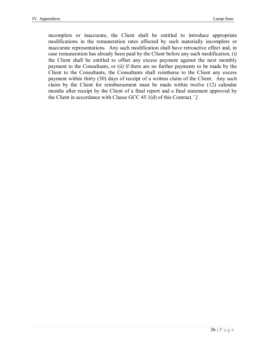incomplete or inaccurate, the Client shall be entitled to introduce appropriate modifications in the remuneration rates affected by such materially incomplete or inaccurate representations. Any such modification shall have retroactive effect and, in case remuneration has already been paid by the Client before any such modification, (i) the Client shall be entitled to offset any excess payment against the next monthly payment to the Consultants, or (ii) if there are no further payments to be made by the Client to the Consultants, the Consultants shall reimburse to the Client any excess payment within thirty (30) days of receipt of a written claim of the Client. Any such claim by the Client for reimbursement must be made within twelve (12) calendar months after receipt by the Client of a final report and a final statement approved by the Client in accordance with Clause GCC 45.1(d) of this Contract*."]*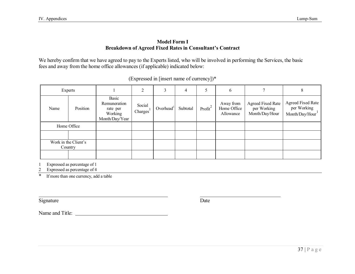#### **Model Form I Breakdown of Agreed Fixed Rates in Consultant's Contract**

We hereby confirm that we have agreed to pay to the Experts listed, who will be involved in performing the Services, the basic fees and away from the home office allowances (if applicable) indicated below:

| Experts                         |  |                                                                | ↑<br>∠                          |              | 4        |            | $\mathfrak b$                         |                                                           | 8                                                         |
|---------------------------------|--|----------------------------------------------------------------|---------------------------------|--------------|----------|------------|---------------------------------------|-----------------------------------------------------------|-----------------------------------------------------------|
| Position<br>Name                |  | Basic<br>Remuneration<br>rate per<br>Working<br>Month/Day/Year | Social<br>Chargest <sup>1</sup> | Overhead $1$ | Subtotal | Profit $2$ | Away from<br>Home Office<br>Allowance | <b>Agreed Fixed Rate</b><br>per Working<br>Month/Day/Hour | <b>Agreed Fixed Rate</b><br>per Working<br>Month/Day/Hour |
| Home Office                     |  |                                                                |                                 |              |          |            |                                       |                                                           |                                                           |
|                                 |  |                                                                |                                 |              |          |            |                                       |                                                           |                                                           |
| Work in the Client's<br>Country |  |                                                                |                                 |              |          |            |                                       |                                                           |                                                           |
|                                 |  |                                                                |                                 |              |          |            |                                       |                                                           |                                                           |

| (Expressed in [insert name of currency])* |  |  |  |  |  |  |  |
|-------------------------------------------|--|--|--|--|--|--|--|
|-------------------------------------------|--|--|--|--|--|--|--|

1 Expressed as percentage of 1

2 Expressed as percentage of 4

\* If more than one currency, add a table

Signature Date

Name and Title: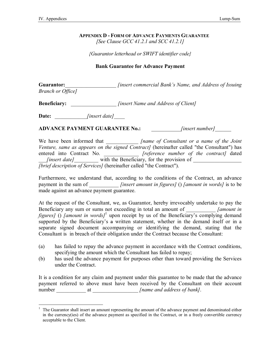#### **APPENDIX D - FORM OF ADVANCE PAYMENTS GUARANTEE** *[See Clause GCC 41.2.1 and SCC 41.2.1]*

*{Guarantor letterhead or SWIFT identifier code}*

#### **Bank Guarantee for Advance Payment**

**Guarantor:**\_\_\_\_\_\_\_\_\_\_\_\_\_\_\_\_\_\_\_ *[insert commercial Bank's Name, and Address of Issuing Branch or Office]*

**Beneficiary:** *<i>Iinsert Name and Address of Client]* 

**Date:** \_\_\_\_\_\_\_\_\_\_\_\_*[insert date]*\_\_\_\_

**ADVANCE PAYMENT GUARANTEE No.:** \_\_\_\_\_\_\_\_\_\_\_*[insert number]*\_\_\_\_\_\_

We have been informed that \_\_\_\_\_\_\_\_\_\_\_\_\_\_ *[name of Consultant or a name of the Joint Venture, same as appears on the signed Contract]* (hereinafter called "the Consultant") has entered into Contract No. \_\_\_\_\_\_\_\_\_\_\_\_\_ *[reference number of the contract]* dated \_\_\_*[insert date]*\_\_\_\_\_\_\_\_\_ with the Beneficiary, for the provision of \_\_\_\_\_\_\_\_\_\_\_\_\_\_\_\_\_\_ *[brief description of Services]* (hereinafter called "the Contract").

Furthermore, we understand that, according to the conditions of the Contract, an advance payment in the sum of \_\_\_\_\_\_\_\_\_\_\_ *[insert amount in figures]* () *[amount in words]* is to be made against an advance payment guarantee.

At the request of the Consultant, we, as Guarantor, hereby irrevocably undertake to pay the Beneficiary any sum or sums not exceeding in total an amount of *[amount in figures]* () *[amount in words]*<sup>1</sup> upon receipt by us of the Beneficiary's complying demand supported by the Beneficiary's a written statement, whether in the demand itself or in a separate signed document accompanying or identifying the demand, stating that the Consultant is in breach of their obligation under the Contract because the Consultant:

- (a) has failed to repay the advance payment in accordance with the Contract conditions, specifying the amount which the Consultant has failed to repay;
- (b) has used the advance payment for purposes other than toward providing the Services under the Contract.

It is a condition for any claim and payment under this guarantee to be made that the advance payment referred to above must have been received by the Consultant on their account number \_\_\_\_\_\_\_\_\_\_\_ at \_\_\_\_\_\_\_\_\_\_\_\_\_\_\_\_\_ *[name and address of bank]*.

 $\overline{a}$ <sup>1</sup> The Guarantor shall insert an amount representing the amount of the advance payment and denominated either in the currency(ies) of the advance payment as specified in the Contract, or in a freely convertible currency acceptable to the Client.